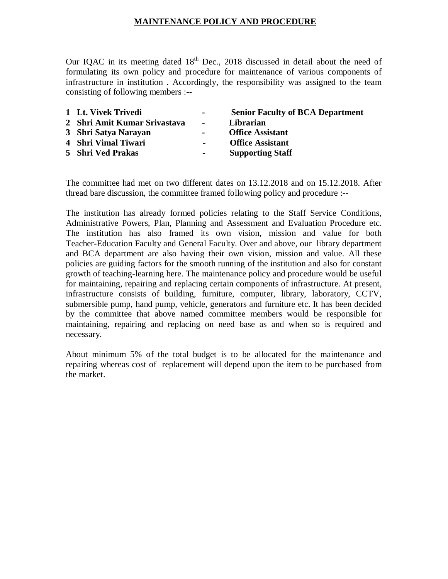## **MAINTENANCE POLICY AND PROCEDURE**

Our IQAC in its meeting dated  $18<sup>th</sup>$  Dec., 2018 discussed in detail about the need of formulating its own policy and procedure for maintenance of various components of infrastructure in institution . Accordingly, the responsibility was assigned to the team consisting of following members :--

| 1 Lt. Vivek Trivedi          | $\blacksquare$ | <b>Senior Faculty of BCA Department</b> |
|------------------------------|----------------|-----------------------------------------|
| 2 Shri Amit Kumar Srivastava | $\sim$         | Librarian                               |
| 3 Shri Satya Narayan         | $\blacksquare$ | <b>Office Assistant</b>                 |
| 4 Shri Vimal Tiwari          | $\blacksquare$ | <b>Office Assistant</b>                 |
| 5 Shri Ved Prakas            | $\sim 100$     | <b>Supporting Staff</b>                 |
|                              |                |                                         |

The committee had met on two different dates on 13.12.2018 and on 15.12.2018. After thread bare discussion, the committee framed following policy and procedure :--

The institution has already formed policies relating to the Staff Service Conditions, Administrative Powers, Plan, Planning and Assessment and Evaluation Procedure etc. The institution has also framed its own vision, mission and value for both Teacher-Education Faculty and General Faculty. Over and above, our library department and BCA department are also having their own vision, mission and value. All these policies are guiding factors for the smooth running of the institution and also for constant growth of teaching-learning here. The maintenance policy and procedure would be useful for maintaining, repairing and replacing certain components of infrastructure. At present, infrastructure consists of building, furniture, computer, library, laboratory, CCTV, submersible pump, hand pump, vehicle, generators and furniture etc. It has been decided by the committee that above named committee members would be responsible for maintaining, repairing and replacing on need base as and when so is required and necessary.

About minimum 5% of the total budget is to be allocated for the maintenance and repairing whereas cost of replacement will depend upon the item to be purchased from the market.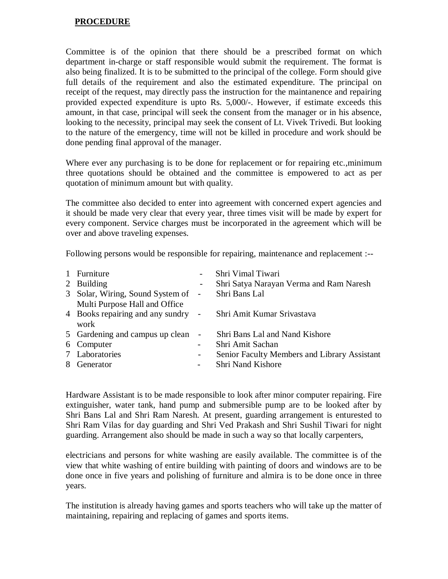## **PROCEDURE**

Committee is of the opinion that there should be a prescribed format on which department in-charge or staff responsible would submit the requirement. The format is also being finalized. It is to be submitted to the principal of the college. Form should give full details of the requirement and also the estimated expenditure. The principal on receipt of the request, may directly pass the instruction for the maintanence and repairing provided expected expenditure is upto Rs. 5,000/-. However, if estimate exceeds this amount, in that case, principal will seek the consent from the manager or in his absence, looking to the necessity, principal may seek the consent of Lt. Vivek Trivedi. But looking to the nature of the emergency, time will not be killed in procedure and work should be done pending final approval of the manager.

Where ever any purchasing is to be done for replacement or for repairing etc.,minimum three quotations should be obtained and the committee is empowered to act as per quotation of minimum amount but with quality.

The committee also decided to enter into agreement with concerned expert agencies and it should be made very clear that every year, three times visit will be made by expert for every component. Service charges must be incorporated in the agreement which will be over and above traveling expenses.

Following persons would be responsible for repairing, maintenance and replacement :--

| 1 Furniture                                                   |                          | Shri Vimal Tiwari                            |
|---------------------------------------------------------------|--------------------------|----------------------------------------------|
| 2 Building                                                    |                          | Shri Satya Narayan Verma and Ram Naresh      |
| 3 Solar, Wiring, Sound System of -                            |                          | Shri Bans Lal                                |
| Multi Purpose Hall and Office                                 |                          |                                              |
| 4 Books repairing and any sundry - Shri Amit Kumar Srivastava |                          |                                              |
| work                                                          |                          |                                              |
| 5 Gardening and campus up clean                               | $\overline{\phantom{a}}$ | Shri Bans Lal and Nand Kishore               |
| 6 Computer                                                    | $\overline{\phantom{0}}$ | Shri Amit Sachan                             |
| 7 Laboratories                                                | $\overline{\phantom{a}}$ | Senior Faculty Members and Library Assistant |
| 8 Generator                                                   | $\qquad \qquad -$        | Shri Nand Kishore                            |
|                                                               |                          |                                              |

Hardware Assistant is to be made responsible to look after minor computer repairing. Fire extinguisher, water tank, hand pump and submersible pump are to be looked after by Shri Bans Lal and Shri Ram Naresh. At present, guarding arrangement is enturested to Shri Ram Vilas for day guarding and Shri Ved Prakash and Shri Sushil Tiwari for night guarding. Arrangement also should be made in such a way so that locally carpenters,

electricians and persons for white washing are easily available. The committee is of the view that white washing of entire building with painting of doors and windows are to be done once in five years and polishing of furniture and almira is to be done once in three years.

The institution is already having games and sports teachers who will take up the matter of maintaining, repairing and replacing of games and sports items.